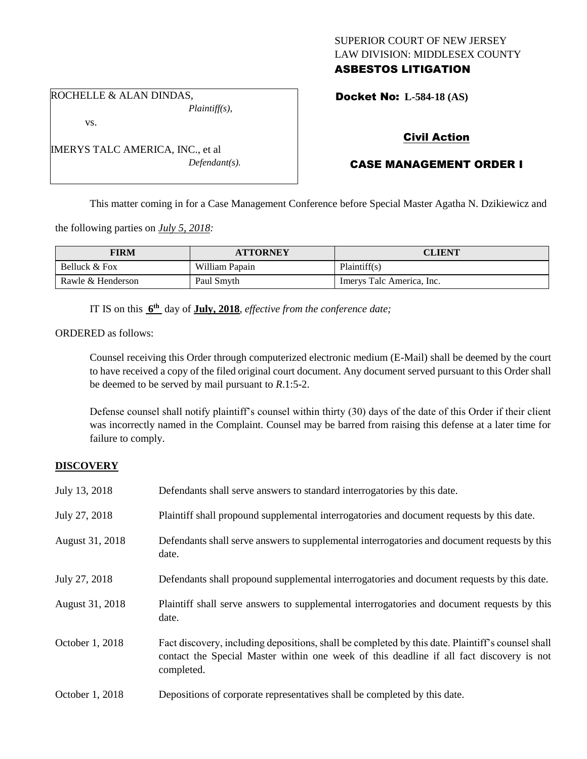# SUPERIOR COURT OF NEW JERSEY LAW DIVISION: MIDDLESEX COUNTY ASBESTOS LITIGATION

ROCHELLE & ALAN DINDAS, *Plaintiff(s),*

vs.

IMERYS TALC AMERICA, INC., et al *Defendant(s).* Docket No: **L-584-18 (AS)** 

# Civil Action

# CASE MANAGEMENT ORDER I

This matter coming in for a Case Management Conference before Special Master Agatha N. Dzikiewicz and

the following parties on *July 5, 2018:*

| FIRM              | <b>ATTORNEY</b> | <b>CLIENT</b>             |
|-------------------|-----------------|---------------------------|
| Belluck & Fox     | William Papain  | Plaintiff(s)              |
| Rawle & Henderson | Paul Smyth      | Imerys Talc America, Inc. |

IT IS on this  $6^{\text{th}}$  day of **July, 2018**, *effective from the conference date*;

ORDERED as follows:

Counsel receiving this Order through computerized electronic medium (E-Mail) shall be deemed by the court to have received a copy of the filed original court document. Any document served pursuant to this Order shall be deemed to be served by mail pursuant to *R*.1:5-2.

Defense counsel shall notify plaintiff's counsel within thirty (30) days of the date of this Order if their client was incorrectly named in the Complaint. Counsel may be barred from raising this defense at a later time for failure to comply.

# **DISCOVERY**

| July 13, 2018   | Defendants shall serve answers to standard interrogatories by this date.                                                                                                                                    |
|-----------------|-------------------------------------------------------------------------------------------------------------------------------------------------------------------------------------------------------------|
| July 27, 2018   | Plaintiff shall propound supplemental interrogatories and document requests by this date.                                                                                                                   |
| August 31, 2018 | Defendants shall serve answers to supplemental interrogatories and document requests by this<br>date.                                                                                                       |
| July 27, 2018   | Defendants shall propound supplemental interrogatories and document requests by this date.                                                                                                                  |
| August 31, 2018 | Plaintiff shall serve answers to supplemental interrogatories and document requests by this<br>date.                                                                                                        |
| October 1, 2018 | Fact discovery, including depositions, shall be completed by this date. Plaintiff's counsel shall<br>contact the Special Master within one week of this deadline if all fact discovery is not<br>completed. |
| October 1, 2018 | Depositions of corporate representatives shall be completed by this date.                                                                                                                                   |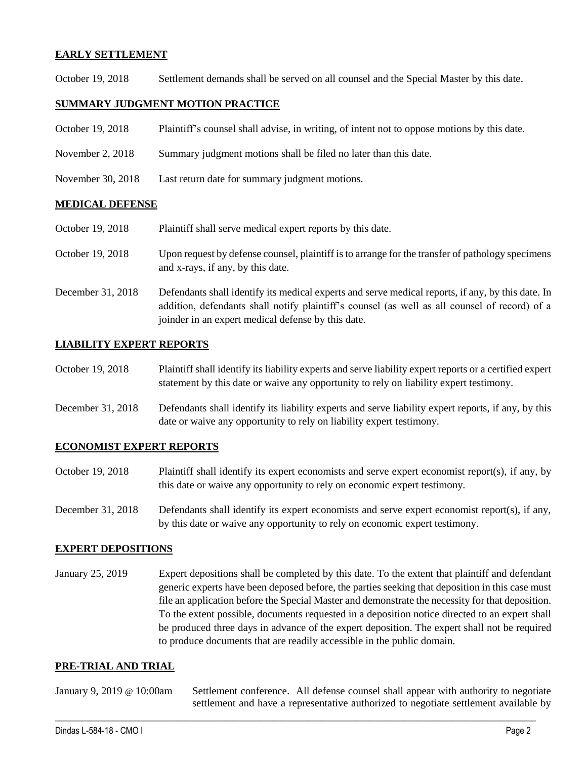### **EARLY SETTLEMENT**

October 19, 2018 Settlement demands shall be served on all counsel and the Special Master by this date.

## **SUMMARY JUDGMENT MOTION PRACTICE**

| October 19, 2018 | Plaintiff's counsel shall advise, in writing, of intent not to oppose motions by this date. |  |  |  |
|------------------|---------------------------------------------------------------------------------------------|--|--|--|
|------------------|---------------------------------------------------------------------------------------------|--|--|--|

- November 2, 2018 Summary judgment motions shall be filed no later than this date.
- November 30, 2018 Last return date for summary judgment motions.

#### **MEDICAL DEFENSE**

October 19, 2018 Plaintiff shall serve medical expert reports by this date.

- October 19, 2018 Upon request by defense counsel, plaintiff is to arrange for the transfer of pathology specimens and x-rays, if any, by this date.
- December 31, 2018 Defendants shall identify its medical experts and serve medical reports, if any, by this date. In addition, defendants shall notify plaintiff's counsel (as well as all counsel of record) of a joinder in an expert medical defense by this date.

### **LIABILITY EXPERT REPORTS**

October 19, 2018 Plaintiff shall identify its liability experts and serve liability expert reports or a certified expert statement by this date or waive any opportunity to rely on liability expert testimony.

December 31, 2018 Defendants shall identify its liability experts and serve liability expert reports, if any, by this date or waive any opportunity to rely on liability expert testimony.

#### **ECONOMIST EXPERT REPORTS**

- October 19, 2018 Plaintiff shall identify its expert economists and serve expert economist report(s), if any, by this date or waive any opportunity to rely on economic expert testimony.
- December 31, 2018 Defendants shall identify its expert economists and serve expert economist report(s), if any, by this date or waive any opportunity to rely on economic expert testimony.

#### **EXPERT DEPOSITIONS**

January 25, 2019 Expert depositions shall be completed by this date. To the extent that plaintiff and defendant generic experts have been deposed before, the parties seeking that deposition in this case must file an application before the Special Master and demonstrate the necessity for that deposition. To the extent possible, documents requested in a deposition notice directed to an expert shall be produced three days in advance of the expert deposition. The expert shall not be required to produce documents that are readily accessible in the public domain.

#### **PRE-TRIAL AND TRIAL**

January 9, 2019 @ 10:00am Settlement conference. All defense counsel shall appear with authority to negotiate settlement and have a representative authorized to negotiate settlement available by

 $\_$  ,  $\_$  ,  $\_$  ,  $\_$  ,  $\_$  ,  $\_$  ,  $\_$  ,  $\_$  ,  $\_$  ,  $\_$  ,  $\_$  ,  $\_$  ,  $\_$  ,  $\_$  ,  $\_$  ,  $\_$  ,  $\_$  ,  $\_$  ,  $\_$  ,  $\_$  ,  $\_$  ,  $\_$  ,  $\_$  ,  $\_$  ,  $\_$  ,  $\_$  ,  $\_$  ,  $\_$  ,  $\_$  ,  $\_$  ,  $\_$  ,  $\_$  ,  $\_$  ,  $\_$  ,  $\_$  ,  $\_$  ,  $\_$  ,